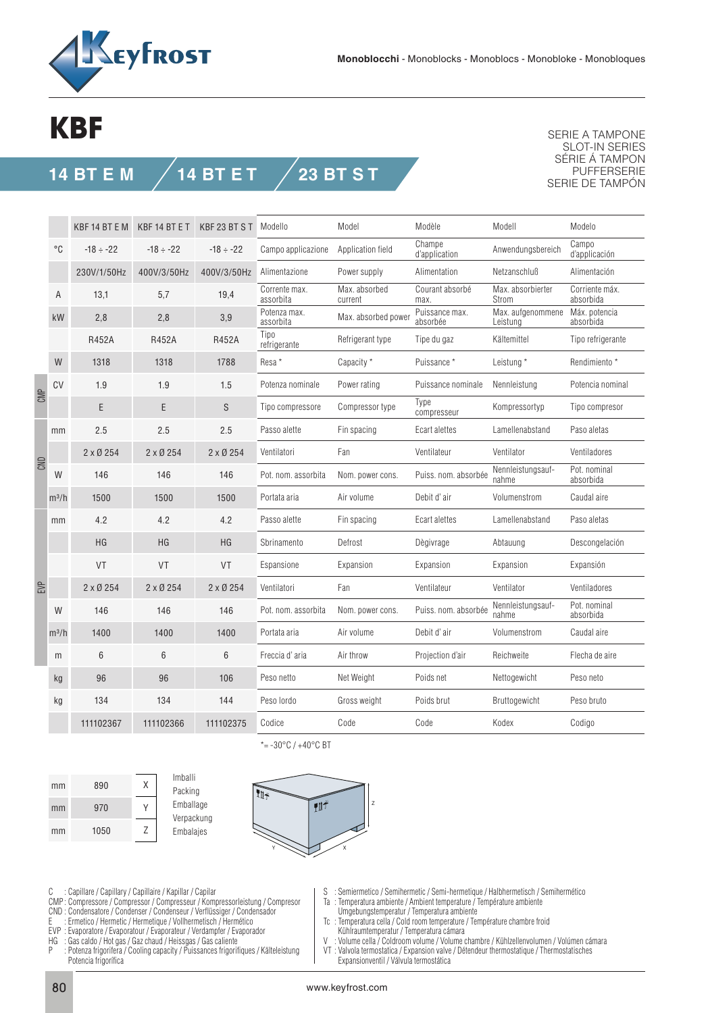

## **KBF**

## **14 BT E M 14 BT E T 23 BT S T**

SERIE A TAMPONE SLOT-IN SERIES SÉRIE Á TAMPON PUFFERSERIE SERIE DE TAMPÓN

|     |              | KBF 14 BT E M   | KBF 14 BT E T   | KBF 23 BT S T    | Modello                    | Model                    | Modèle                     | Modell                        | Modelo                      |
|-----|--------------|-----------------|-----------------|------------------|----------------------------|--------------------------|----------------------------|-------------------------------|-----------------------------|
|     | $^{\circ}$ C | $-18 \div -22$  | $-18 \div -22$  | $-18 \div -22$   | Campo applicazione         | Application field        | Champe<br>d'application    | Anwendungsbereich             | Campo<br>d'applicación      |
|     |              | 230V/1/50Hz     | 400V/3/50Hz     | 400V/3/50Hz      | Alimentazione              | Power supply             | Alimentation               | Netzanschluß                  | Alimentación                |
|     | Α            | 13,1            | 5,7             | 19,4             | Corrente max.<br>assorbita | Max. absorbed<br>current | Courant absorbé<br>max.    | Max. absorbierter<br>Strom    | Corriente máx.<br>absorbida |
|     | kW           | 2,8             | 2,8             | 3,9              | Potenza max.<br>assorbita  | Max. absorbed power      | Puissance max.<br>absorbée | Max. aufgenommene<br>Leistung | Máx. potencia<br>absorbida  |
|     |              | <b>R452A</b>    | <b>R452A</b>    | <b>R452A</b>     | Tipo<br>refrigerante       | Refrigerant type         | Tipe du gaz                | Kältemittel                   | Tipo refrigerante           |
|     | W            | 1318            | 1318            | 1788             | Resa*                      | Capacity *               | Puissance *                | Leistung*                     | Rendimiento *               |
| CMP | CV           | 1.9             | 1.9             | 1.5              | Potenza nominale           | Power rating             | Puissance nominale         | Nennleistung                  | Potencia nominal            |
|     |              | E               | E               | S                | Tipo compressore           | Compressor type          | Type<br>compresseur        | Kompressortyp                 | Tipo compresor              |
| CND | mm           | 2.5             | 2.5             | 2.5              | Passo alette               | Fin spacing              | Ecart alettes              | Lamellenabstand               | Paso aletas                 |
|     |              | $2 \times 0254$ | $2 \times 0254$ | $2 \times 0$ 254 | Ventilatori                | Fan                      | Ventilateur                | Ventilator                    | Ventiladores                |
|     | W            | 146             | 146             | 146              | Pot. nom. assorbita        | Nom. power cons.         | Puiss. nom. absorbée       | Nennleistungsauf-<br>nahme    | Pot. nominal<br>absorbida   |
|     | $m^3/h$      | 1500            | 1500            | 1500             | Portata aria               | Air volume               | Debit d'air                | Volumenstrom                  | Caudal aire                 |
|     | mm           | 4.2             | 4.2             | 4.2              | Passo alette               | Fin spacing              | Ecart alettes              | Lamellenabstand               | Paso aletas                 |
|     |              | HG              | HG              | <b>HG</b>        | Sbrinamento                | Defrost                  | Dègivrage                  | Abtauung                      | Descongelación              |
|     |              | VT              | VT              | <b>VT</b>        | Espansione                 | Expansion                | Expansion                  | Expansion                     | Expansión                   |
| EVP |              | $2 \times 0254$ | $2 \times 0254$ | $2 \times 0$ 254 | Ventilatori                | Fan                      | Ventilateur                | Ventilator                    | Ventiladores                |
|     | W            | 146             | 146             | 146              | Pot. nom. assorbita        | Nom. power cons.         | Puiss. nom. absorbée       | Nennleistungsauf-<br>nahme    | Pot. nominal<br>absorbida   |
|     | $m^3/h$      | 1400            | 1400            | 1400             | Portata aria               | Air volume               | Debit d'air                | Volumenstrom                  | Caudal aire                 |
|     | m            | 6               | 6               | 6                | Freccia d'aria             | Air throw                | Projection d'air           | Reichweite                    | Flecha de aire              |
|     | kg           | 96              | 96              | 106              | Peso netto                 | Net Weight               | Poids net                  | Nettogewicht                  | Peso neto                   |
|     | kg           | 134             | 134             | 144              | Peso lordo                 | Gross weight             | Poids brut                 | Bruttogewicht                 | Peso bruto                  |
|     |              | 111102367       | 111102366       | 111102375        | Codice                     | Code                     | Code                       | Kodex                         | Codigo                      |

890 970 1050 X Y Z mm mm mm





\*= $-30^{\circ}$ C /  $+40^{\circ}$ C BT

C : Capillare / Capillary / Capillaire / Kapillar / Capilar

- CMP : Compressore / Compressor / Compresseur / Kompressorleistung / Compresor
- CND : Condensatore / Condenser / Condenseur / Verflüssiger / Condensador
- E : Ermetico / Hermetic / Hermetique / Vollhermetisch / Hermético EVP : Evaporatore / Evaporatour / Evaporateur / Verdampfer / Evaporador
- 
- HG : Gas caldo / Hot gas / Gaz chaud / Heissgas / Gas caliente : Potenza frigorifera / Cooling capacity / Puissances frigorifiques / Kälteleistung
- Potencia frigorífica
- S : Semiermetico / Semihermetic / Semi-hermetique / Halbhermetisch / Semihermético
- Ta : Temperatura ambiente / Ambient temperature / Température ambiente
- Umgebungstemperatur / Temperatura ambiente
- Tc : Temperatura cella / Cold room temperature / Température chambre froid Kühlraumtemperatur / Temperatura cámara<br>V · Volume cella / Coldroom volume / Volume (
- Volume cella / Coldroom volume / Volume chambre / Kühlzellenvolumen / Volúmen cámara
- VT : Valvola termostatica / Expansion valve / Détendeur thermostatique / Thermostatisches Expansionventil / Válvula termostática